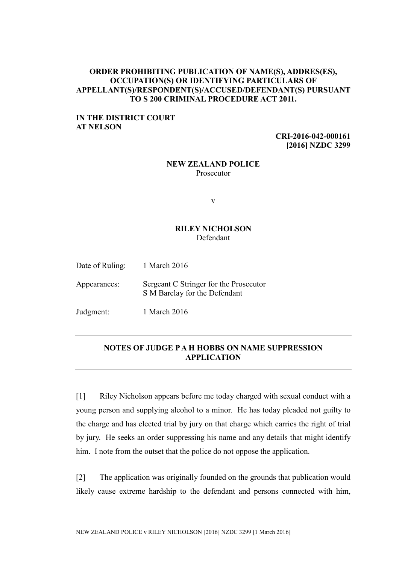### **ORDER PROHIBITING PUBLICATION OF NAME(S), ADDRES(ES), OCCUPATION(S) OR IDENTIFYING PARTICULARS OF APPELLANT(S)/RESPONDENT(S)/ACCUSED/DEFENDANT(S) PURSUANT TO S 200 CRIMINAL PROCEDURE ACT 2011.**

## **IN THE DISTRICT COURT AT NELSON**

**CRI-2016-042-000161 [2016] NZDC 3299**

#### **NEW ZEALAND POLICE** Prosecutor

v

## **RILEY NICHOLSON** Defendant

| Date of Ruling: | 1 March 2016                                                            |
|-----------------|-------------------------------------------------------------------------|
| Appearances:    | Sergeant C Stringer for the Prosecutor<br>S M Barclay for the Defendant |
| Judgment:       | 1 March 2016                                                            |

# **NOTES OF JUDGE P A H HOBBS ON NAME SUPPRESSION APPLICATION**

[1] Riley Nicholson appears before me today charged with sexual conduct with a young person and supplying alcohol to a minor. He has today pleaded not guilty to the charge and has elected trial by jury on that charge which carries the right of trial by jury. He seeks an order suppressing his name and any details that might identify him. I note from the outset that the police do not oppose the application.

[2] The application was originally founded on the grounds that publication would likely cause extreme hardship to the defendant and persons connected with him,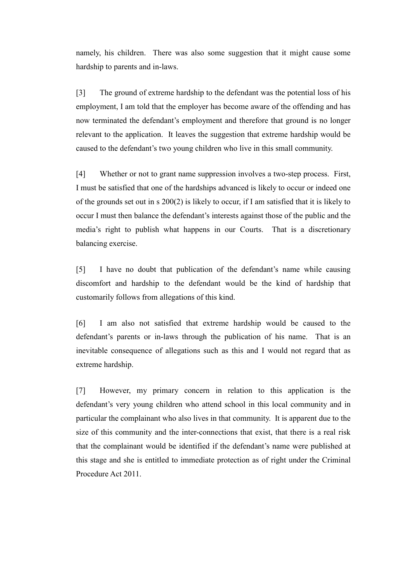namely, his children. There was also some suggestion that it might cause some hardship to parents and in-laws.

[3] The ground of extreme hardship to the defendant was the potential loss of his employment, I am told that the employer has become aware of the offending and has now terminated the defendant's employment and therefore that ground is no longer relevant to the application. It leaves the suggestion that extreme hardship would be caused to the defendant's two young children who live in this small community.

[4] Whether or not to grant name suppression involves a two-step process. First, I must be satisfied that one of the hardships advanced is likely to occur or indeed one of the grounds set out in s 200(2) is likely to occur, if I am satisfied that it is likely to occur I must then balance the defendant's interests against those of the public and the media's right to publish what happens in our Courts. That is a discretionary balancing exercise.

[5] I have no doubt that publication of the defendant's name while causing discomfort and hardship to the defendant would be the kind of hardship that customarily follows from allegations of this kind.

[6] I am also not satisfied that extreme hardship would be caused to the defendant's parents or in-laws through the publication of his name. That is an inevitable consequence of allegations such as this and I would not regard that as extreme hardship.

[7] However, my primary concern in relation to this application is the defendant's very young children who attend school in this local community and in particular the complainant who also lives in that community. It is apparent due to the size of this community and the inter-connections that exist, that there is a real risk that the complainant would be identified if the defendant's name were published at this stage and she is entitled to immediate protection as of right under the Criminal Procedure Act 2011.